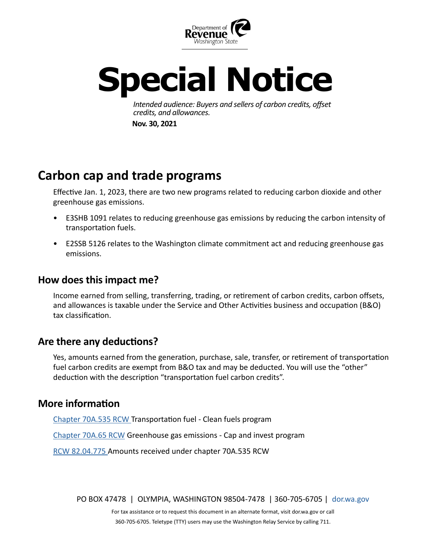

# **Special Notice**

*Intended audience: Buyers and sellers of carbon credits, offset credits, and allowances.* **Nov. 30, 2021**

# **Carbon cap and trade programs**

Effective Jan. 1, 2023, there are two new programs related to reducing carbon dioxide and other greenhouse gas emissions.

- E3SHB 1091 relates to reducing greenhouse gas emissions by reducing the carbon intensity of transportation fuels.
- E2SSB 5126 relates to the Washington climate commitment act and reducing greenhouse gas emissions.

## **How does this impact me?**

Income earned from selling, transferring, trading, or retirement of carbon credits, carbon offsets, and allowances is taxable under the Service and Other Activities business and occupation (B&O) tax classification.

# **Are there any deductions?**

Yes, amounts earned from the generation, purchase, sale, transfer, or retirement of transportation fuel carbon credits are exempt from B&O tax and may be deducted. You will use the "other" deduction with the description "transportation fuel carbon credits".

### **More information**

[Chapter 70A.535 RCW](https://app.leg.wa.gov/RCW/default.aspx?cite=70A.65) Transportation fuel - Clean fuels program

[Chapter 70A.65 RCW](https://app.leg.wa.gov/RCW/default.aspx?cite=70A.65) Greenhouse gas emissions - Cap and invest program

[RCW 82.04.775](https://app.leg.wa.gov/RCW/default.aspx?cite=82.04.775) Amounts received under chapter 70A.535 RCW

PO BOX 47478 | OLYMPIA, WASHINGTON 98504-7478 | 360-705-6705 | [dor.wa.gov](https://dor.wa.gov/)

For tax assistance or to request this document in an alternate format, visit dor.wa.gov or call 360-705-6705. Teletype (TTY) users may use the Washington Relay Service by calling 711.